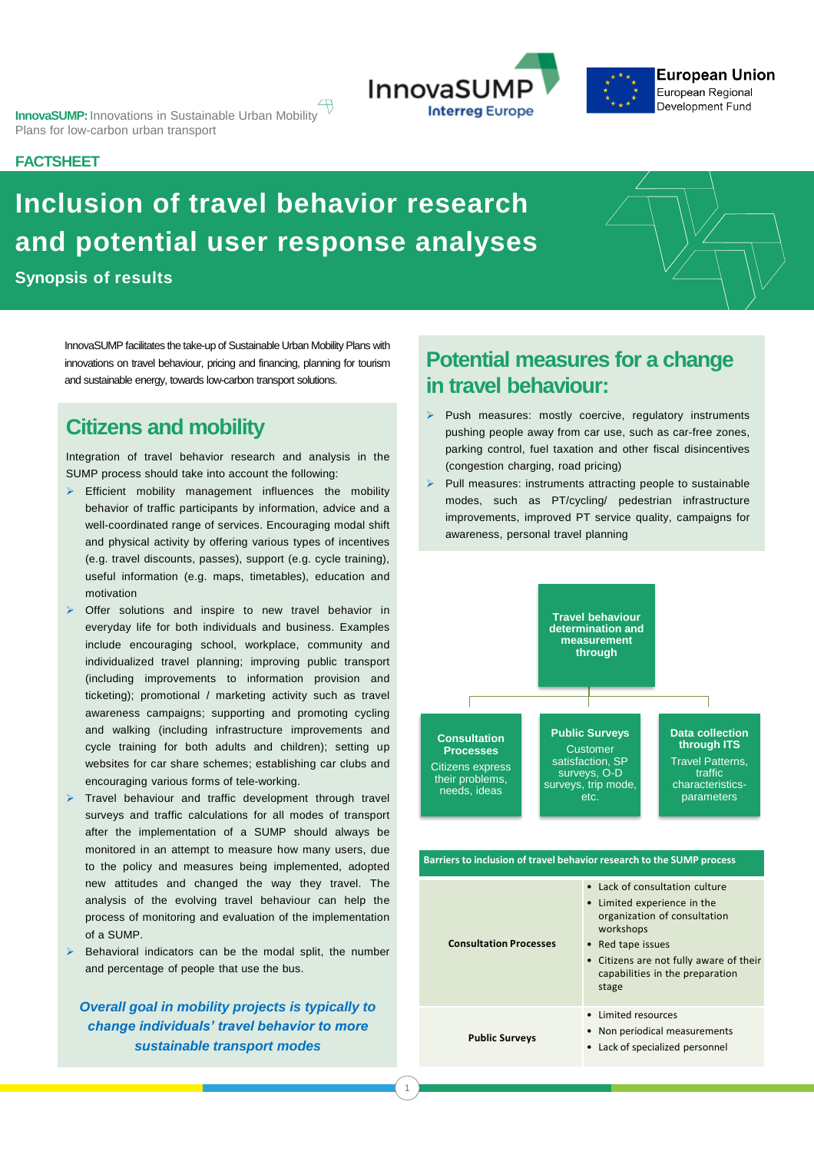**InnovaSUMP:** Innovations in Sustainable Urban Mobility Plans for low-carbon urban transport



## **FACTSHEET**

# **Inclusion of travel behavior research and potential user response analyses**

**Synopsis of results**

InnovaSUMP facilitates the take-up of Sustainable Urban Mobility Plans with innovations on travel behaviour, pricing and financing, planning for tourism and sustainable energy, towards low-carbon transport solutions.

# **Citizens and mobility**

Integration of travel behavior research and analysis in the SUMP process should take into account the following:

- ➢ Efficient mobility management influences the mobility behavior of traffic participants by information, advice and a well-coordinated range of services. Encouraging modal shift and physical activity by offering various types of incentives (e.g. travel discounts, passes), support (e.g. cycle training), useful information (e.g. maps, timetables), education and motivation
- ➢ Offer solutions and inspire to new travel behavior in everyday life for both individuals and business. Examples include encouraging school, workplace, community and individualized travel planning; improving public transport (including improvements to information provision and ticketing); promotional / marketing activity such as travel awareness campaigns; supporting and promoting cycling and walking (including infrastructure improvements and cycle training for both adults and children); setting up websites for car share schemes; establishing car clubs and encouraging various forms of tele-working.
- ➢ Travel behaviour and traffic development through travel surveys and traffic calculations for all modes of transport after the implementation of a SUMP should always be monitored in an attempt to measure how many users, due to the policy and measures being implemented, adopted new attitudes and changed the way they travel. The analysis of the evolving travel behaviour can help the process of monitoring and evaluation of the implementation of a SUMP.
- ➢ Behavioral indicators can be the modal split, the number and percentage of people that use the bus.

*Overall goal in mobility projects is typically to change individuals' travel behavior to more sustainable transport modes*

# Potential measures<br>in travel behaviour: **Potential measures for a change**

- Push measures: mostly coercive, regulatory instruments pushing people away from car use, such as car-free zones, parking control, fuel taxation and other fiscal disincentives (congestion charging, road pricing)
- awareness, personal travel planning<br> ➢ Pull measures: instruments attracting people to sustainable modes, such as PT/cycling/ pedestrian infrastructure improvements, improved PT service quality, campaigns for



| Barriers to inclusion of travel behavior research to the SUMP process |                                                                                                                                                                                                                        |
|-----------------------------------------------------------------------|------------------------------------------------------------------------------------------------------------------------------------------------------------------------------------------------------------------------|
| <b>Consultation Processes</b>                                         | • Lack of consultation culture<br>• Limited experience in the<br>organization of consultation<br>workshops<br>• Red tape issues<br>• Citizens are not fully aware of their<br>capabilities in the preparation<br>stage |
| <b>Public Surveys</b>                                                 | Limited resources<br>Non periodical measurements<br>Lack of specialized personnel                                                                                                                                      |